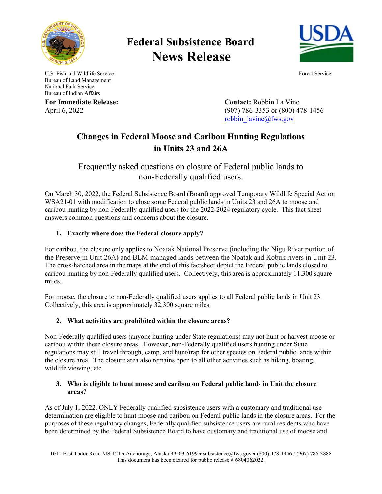

# **Federal Subsistence Board News Release**



U.S. Fish and Wildlife Service Forest Service Forest Service Bureau of Land Management National Park Service Bureau of Indian Affairs

**For Immediate Release: Contact:** Robbin La Vine April 6, 2022 (907) 786-3353 or (800) 478-1456 [robbin\\_lavine@fws.gov](mailto:robbin_lavine@fws.gov)

## **Changes in Federal Moose and Caribou Hunting Regulations in Units 23 and 26A**

Frequently asked questions on closure of Federal public lands to non-Federally qualified users.

On March 30, 2022, the Federal Subsistence Board (Board) approved Temporary Wildlife Special Action WSA21-01 with modification to close some Federal public lands in Units 23 and 26A to moose and caribou hunting by non-Federally qualified users for the 2022-2024 regulatory cycle. This fact sheet answers common questions and concerns about the closure.

### **1. Exactly where does the Federal closure apply?**

For caribou, the closure only applies to Noatak National Preserve (including the Nigu River portion of the Preserve in Unit 26A**)** and BLM-managed lands between the Noatak and Kobuk rivers in Unit 23. The cross-hatched area in the maps at the end of this factsheet depict the Federal public lands closed to caribou hunting by non-Federally qualified users. Collectively, this area is approximately 11,300 square miles.

For moose, the closure to non-Federally qualified users applies to all Federal public lands in Unit 23. Collectively, this area is approximately 32,300 square miles.

### **2. What activities are prohibited within the closure areas?**

Non-Federally qualified users (anyone hunting under State regulations) may not hunt or harvest moose or caribou within these closure areas. However, non-Federally qualified users hunting under State regulations may still travel through, camp, and hunt/trap for other species on Federal public lands within the closure area. The closure area also remains open to all other activities such as hiking, boating, wildlife viewing, etc.

#### **3. Who is eligible to hunt moose and caribou on Federal public lands in Unit the closure areas?**

As of July 1, 2022, ONLY Federally qualified subsistence users with a customary and traditional use determination are eligible to hunt moose and caribou on Federal public lands in the closure areas. For the purposes of these regulatory changes, Federally qualified subsistence users are rural residents who have been determined by the Federal Subsistence Board to have customary and traditional use of moose and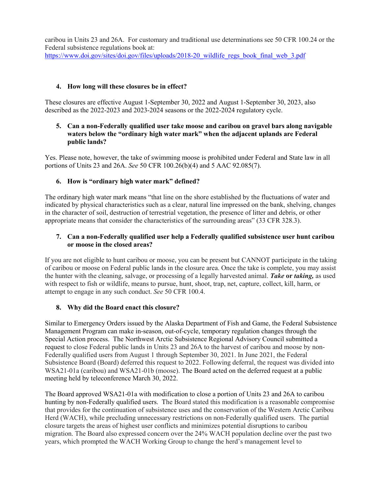caribou in Units 23 and 26A. For customary and traditional use determinations see 50 CFR 100.24 or the Federal subsistence regulations book at: [https://www.doi.gov/sites/doi.gov/files/uploads/2018-20\\_wildlife\\_regs\\_book\\_final\\_web\\_3.pdf](https://www.doi.gov/sites/doi.gov/files/uploads/2018-20_wildlife_regs_book_final_web_3.pdf)

#### **4. How long will these closures be in effect?**

These closures are effective August 1-September 30, 2022 and August 1-September 30, 2023, also described as the 2022-2023 and 2023-2024 seasons or the 2022-2024 regulatory cycle.

#### **5. Can a non-Federally qualified user take moose and caribou on gravel bars along navigable waters below the "ordinary high water mark" when the adjacent uplands are Federal public lands?**

Yes. Please note, however, the take of swimming moose is prohibited under Federal and State law in all portions of Units 23 and 26A. *See* 50 CFR 100.26(b)(4) and 5 AAC 92.085(7).

#### **6. How is "ordinary high water mark" defined?**

The ordinary high water mark means "that line on the shore established by the fluctuations of water and indicated by physical characteristics such as a clear, natural line impressed on the bank, shelving, changes in the character of soil, destruction of terrestrial vegetation, the presence of litter and debris, or other appropriate means that consider the characteristics of the surrounding areas" (33 CFR 328.3).

#### **7. Can a non-Federally qualified user help a Federally qualified subsistence user hunt caribou or moose in the closed areas?**

If you are not eligible to hunt caribou or moose, you can be present but CANNOT participate in the taking of caribou or moose on Federal public lands in the closure area. Once the take is complete, you may assist the hunter with the cleaning, salvage, or processing of a legally harvested animal. *Take* **or** *taking,* as used with respect to fish or wildlife, means to pursue, hunt, shoot, trap, net, capture, collect, kill, harm, or attempt to engage in any such conduct. *See* 50 CFR 100.4.

#### **8. Why did the Board enact this closure?**

Similar to Emergency Orders issued by the Alaska Department of Fish and Game, the Federal Subsistence Management Program can make in-season, out-of-cycle, temporary regulation changes through the Special Action process. The Northwest Arctic Subsistence Regional Advisory Council submitted a request to close Federal public lands in Units 23 and 26A to the harvest of caribou and moose by non-Federally qualified users from August 1 through September 30, 2021. In June 2021, the Federal Subsistence Board (Board) deferred this request to 2022. Following deferral, the request was divided into WSA21-01a (caribou) and WSA21-01b (moose). The Board acted on the deferred request at a public meeting held by teleconference March 30, 2022.

The Board approved WSA21-01a with modification to close a portion of Units 23 and 26A to caribou hunting by non-Federally qualified users. The Board stated this modification is a reasonable compromise that provides for the continuation of subsistence uses and the conservation of the Western Arctic Caribou Herd (WACH), while precluding unnecessary restrictions on non-Federally qualified users. The partial closure targets the areas of highest user conflicts and minimizes potential disruptions to caribou migration. The Board also expressed concern over the 24% WACH population decline over the past two years, which prompted the WACH Working Group to change the herd's management level to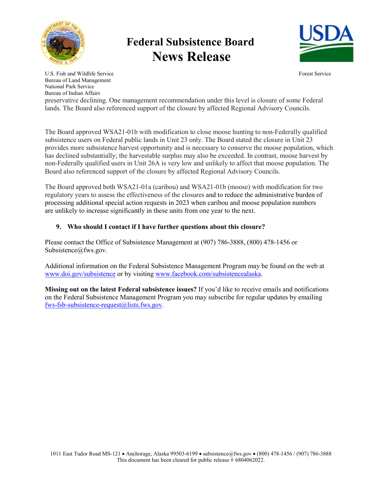

# **Federal Subsistence Board News Release**



U.S. Fish and Wildlife Service Forest Service Forest Service Bureau of Land Management National Park Service Bureau of Indian Affairs

preservative declining. One management recommendation under this level is closure of some Federal lands. The Board also referenced support of the closure by affected Regional Advisory Councils.

The Board approved WSA21-01b with modification to close moose hunting to non-Federally qualified subsistence users on Federal public lands in Unit 23 only. The Board stated the closure in Unit 23 provides more subsistence harvest opportunity and is necessary to conserve the moose population, which has declined substantially; the harvestable surplus may also be exceeded. In contrast, moose harvest by non-Federally qualified users in Unit 26A is very low and unlikely to affect that moose population. The Board also referenced support of the closure by affected Regional Advisory Councils.

The Board approved both WSA21-01a (caribou) and WSA21-01b (moose) with modification for two regulatory years to assess the effectiveness of the closures and to reduce the administrative burden of processing additional special action requests in 2023 when caribou and moose population numbers are unlikely to increase significantly in these units from one year to the next.

### **9. Who should I contact if I have further questions about this closure?**

Please contact the Office of Subsistence Management at (907) 786-3888, (800) 478-1456 or Subsistence@fws.gov.

Additional information on the Federal Subsistence Management Program may be found on the web at [www.doi.gov/subsistence](http://www.doi.gov/subsistence) or by visiting [www.facebook.com/subsistencealaska.](http://www.facebook.com/subsistencealaska)

**Missing out on the latest Federal subsistence issues?** If you'd like to receive emails and notifications on the Federal Subsistence Management Program you may subscribe for regular updates by emailing [fws-fsb-subsistence-request@lists.fws.gov.](mailto:fws-fsb-subsistence-request@lists.fws.gov?subject=Help)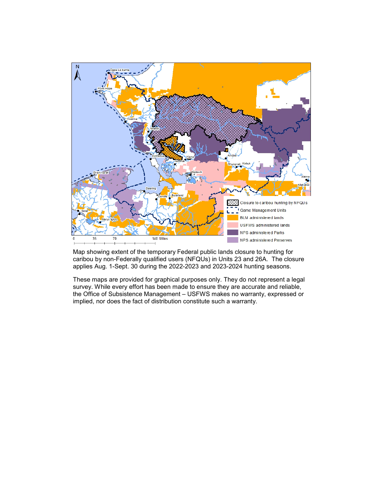

Map showing extent of the temporary Federal public lands closure to hunting for caribou by non-Federally qualified users (NFQUs) in Units 23 and 26A. The closure applies Aug. 1-Sept. 30 during the 2022-2023 and 2023-2024 hunting seasons.

These maps are provided for graphical purposes only. They do not represent a legal survey. While every effort has been made to ensure they are accurate and reliable, the Office of Subsistence Management – USFWS makes no warranty, expressed or implied, nor does the fact of distribution constitute such a warranty.